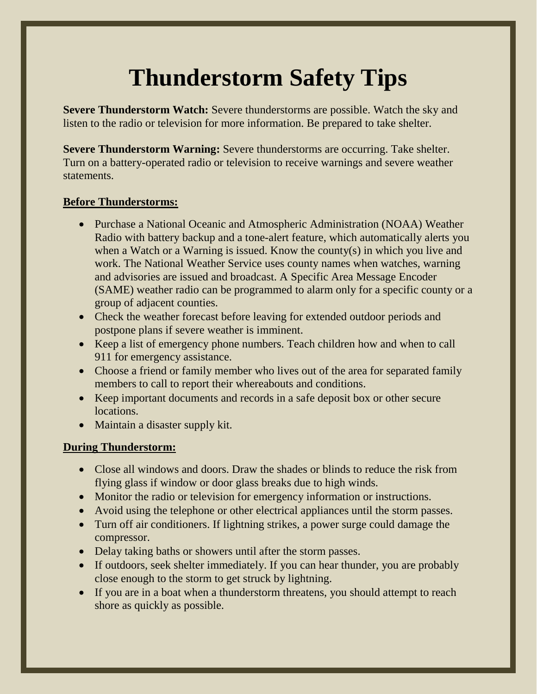## **Thunderstorm Safety Tips**

**Severe Thunderstorm Watch:** Severe thunderstorms are possible. Watch the sky and listen to the radio or television for more information. Be prepared to take shelter.

**Severe Thunderstorm Warning:** Severe thunderstorms are occurring. Take shelter. Turn on a battery-operated radio or television to receive warnings and severe weather statements.

## **Before Thunderstorms:**

- Purchase a National Oceanic and Atmospheric Administration (NOAA) Weather Radio with battery backup and a tone-alert feature, which automatically alerts you when a Watch or a Warning is issued. Know the county(s) in which you live and work. The National Weather Service uses county names when watches, warning and advisories are issued and broadcast. A Specific Area Message Encoder (SAME) weather radio can be programmed to alarm only for a specific county or a group of adjacent counties.
- Check the weather forecast before leaving for extended outdoor periods and postpone plans if severe weather is imminent.
- Keep a list of emergency phone numbers. Teach children how and when to call 911 for emergency assistance.
- Choose a friend or family member who lives out of the area for separated family members to call to report their whereabouts and conditions.
- Keep important documents and records in a safe deposit box or other secure locations.
- Maintain a disaster supply kit.

## **During Thunderstorm:**

- Close all windows and doors. Draw the shades or blinds to reduce the risk from flying glass if window or door glass breaks due to high winds.
- Monitor the radio or television for emergency information or instructions.
- Avoid using the telephone or other electrical appliances until the storm passes.
- Turn off air conditioners. If lightning strikes, a power surge could damage the compressor.
- Delay taking baths or showers until after the storm passes.
- If outdoors, seek shelter immediately. If you can hear thunder, you are probably close enough to the storm to get struck by lightning.
- If you are in a boat when a thunderstorm threatens, you should attempt to reach shore as quickly as possible.